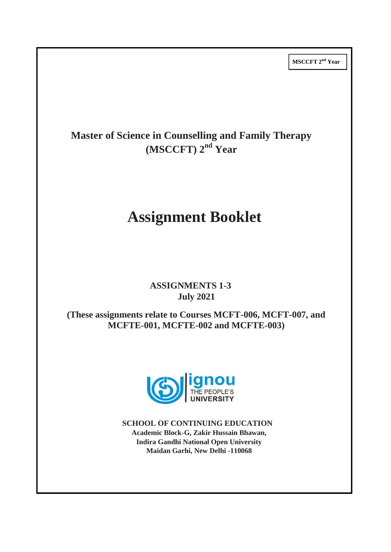**MSCCFT 2 nd Year**

## **Master of Science in Counselling and Family Therapy (MSCCFT) 2 nd Year**

# **Assignment Booklet**

### **ASSIGNMENTS 1-3 July 2021**

**(These assignments relate to Courses MCFT-006, MCFT-007, and MCFTE-001, MCFTE-002 and MCFTE-003)**



**SCHOOL OF CONTINUING EDUCATION Academic Block-G, Zakir Hussain Bhawan, Indira Gandhi National Open University Maidan Garhi, New Delhi -110068**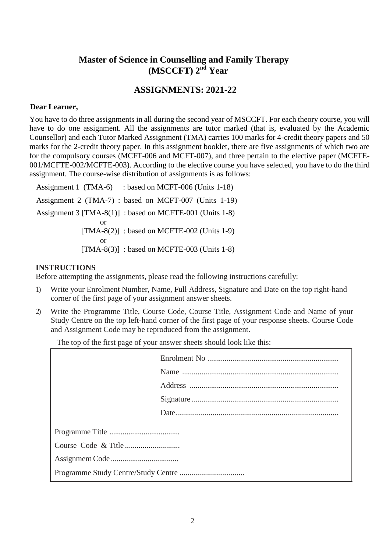### **Master of Science in Counselling and Family Therapy (MSCCFT) 2nd Year**

### **ASSIGNMENTS: 2021-22**

#### **Dear Learner,**

You have to do three assignments in all during the second year of MSCCFT. For each theory course, you will have to do one assignment. All the assignments are tutor marked (that is, evaluated by the Academic Counsellor) and each Tutor Marked Assignment (TMA) carries 100 marks for 4-credit theory papers and 50 marks for the 2-credit theory paper. In this assignment booklet, there are five assignments of which two are for the compulsory courses (MCFT-006 and MCFT-007), and three pertain to the elective paper (MCFTE-001/MCFTE-002/MCFTE-003). According to the elective course you have selected, you have to do the third assignment. The course-wise distribution of assignments is as follows:

Assignment 1 (TMA-6) : based on MCFT-006 (Units 1-18) Assignment 2 (TMA-7) : based on MCFT-007 (Units 1-19) Assignment 3 [TMA-8(1)] : based on MCFTE-001 (Units 1-8) or  $[TMA-8(2)]$ : based on MCFTE-002 (Units 1-9) or [TMA-8(3)] : based on MCFTE-003 (Units 1-8)

#### **INSTRUCTIONS**

Before attempting the assignments, please read the following instructions carefully:

- 1) Write your Enrolment Number, Name, Full Address, Signature and Date on the top right-hand corner of the first page of your assignment answer sheets.
- 2) Write the Programme Title, Course Code, Course Title, Assignment Code and Name of your Study Centre on the top left-hand corner of the first page of your response sheets. Course Code and Assignment Code may be reproduced from the assignment.

The top of the first page of your answer sheets should look like this: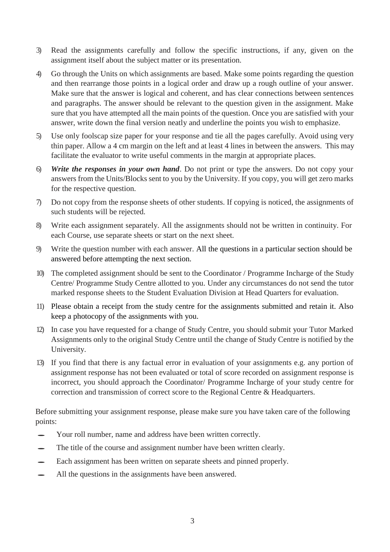- 3) Read the assignments carefully and follow the specific instructions, if any, given on the assignment itself about the subject matter or its presentation.
- 4) Go through the Units on which assignments are based. Make some points regarding the question and then rearrange those points in a logical order and draw up a rough outline of your answer. Make sure that the answer is logical and coherent, and has clear connections between sentences and paragraphs. The answer should be relevant to the question given in the assignment. Make sure that you have attempted all the main points of the question. Once you are satisfied with your answer, write down the final version neatly and underline the points you wish to emphasize.
- 5) Use only foolscap size paper for your response and tie all the pages carefully. Avoid using very thin paper. Allow a 4 cm margin on the left and at least 4 lines in between the answers. This may facilitate the evaluator to write useful comments in the margin at appropriate places.
- 6) *Write the responses in your own hand*. Do not print or type the answers. Do not copy your answers from the Units/Blocks sent to you by the University. If you copy, you will get zero marks for the respective question.
- 7) Do not copy from the response sheets of other students. If copying is noticed, the assignments of such students will be rejected.
- 8) Write each assignment separately. All the assignments should not be written in continuity. For each Course, use separate sheets or start on the next sheet.
- 9) Write the question number with each answer. All the questions in a particular section should be answered before attempting the next section.
- 10) The completed assignment should be sent to the Coordinator / Programme Incharge of the Study Centre/ Programme Study Centre allotted to you. Under any circumstances do not send the tutor marked response sheets to the Student Evaluation Division at Head Quarters for evaluation.
- 11) Please obtain a receipt from the study centre for the assignments submitted and retain it. Also keep a photocopy of the assignments with you.
- 12) In case you have requested for a change of Study Centre, you should submit your Tutor Marked Assignments only to the original Study Centre until the change of Study Centre is notified by the University.
- 13) If you find that there is any factual error in evaluation of your assignments e.g. any portion of assignment response has not been evaluated or total of score recorded on assignment response is incorrect, you should approach the Coordinator/ Programme Incharge of your study centre for correction and transmission of correct score to the Regional Centre & Headquarters.

Before submitting your assignment response, please make sure you have taken care of the following points:

- Your roll number, name and address have been written correctly.
- The title of the course and assignment number have been written clearly.
- $\equiv$  Each assignment has been written on separate sheets and pinned properly.
- All the questions in the assignments have been answered.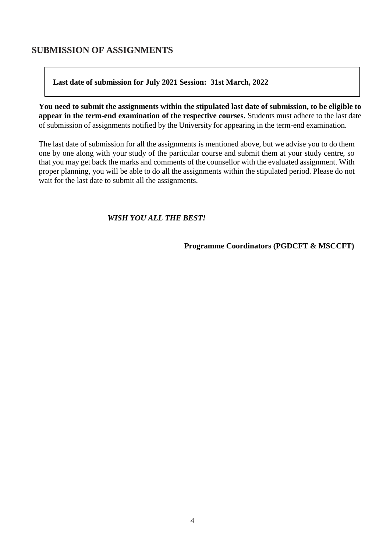### **SUBMISSION OF ASSIGNMENTS**

#### **Last date of submission for July 2021 Session: 31st March, 2022**

**You need to submit the assignments within the stipulated last date of submission, to be eligible to appear in the term-end examination of the respective courses.** Students must adhere to the last date of submission of assignments notified by the University for appearing in the term-end examination.

The last date of submission for all the assignments is mentioned above, but we advise you to do them one by one along with your study of the particular course and submit them at your study centre, so that you may get back the marks and comments of the counsellor with the evaluated assignment. With proper planning, you will be able to do all the assignments within the stipulated period. Please do not wait for the last date to submit all the assignments.

#### *WISH YOU ALL THE BEST!*

**Programme Coordinators (PGDCFT & MSCCFT)**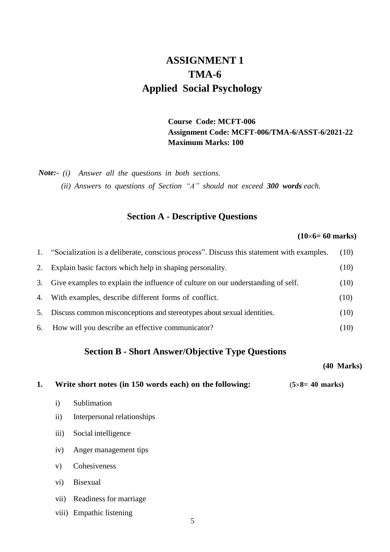## **ASSIGNMENT 1 TMA-6 Applied Social Psychology**

#### **Course Code: MCFT-006 Assignment Code: MCFT-006/TMA-6/ASST-6/2021-22 Maximum Marks: 100**

*Note:- (i) Answer all the questions in both sections.*

*(ii) Answers to questions of Section "A" should not exceed 300 words each.*

#### **Section A - Descriptive Questions**

#### **(106= 60 marks)**

| 1. | "Socialization is a deliberate, conscious process". Discuss this statement with examples. | (10) |
|----|-------------------------------------------------------------------------------------------|------|
| 2. | Explain basic factors which help in shaping personality.                                  | (10) |
| 3. | Give examples to explain the influence of culture on our understanding of self.           | (10) |
| 4. | With examples, describe different forms of conflict.                                      | (10) |
| 5. | Discuss common misconceptions and stereotypes about sexual identities.                    | (10) |
|    | 6. How will you describe an effective communicator?                                       | (10) |

#### **Section B - Short Answer/Objective Type Questions**

#### **(40 Marks)**

|  | Write short notes (in 150 words each) on the following: |  |  | $(5\times8=40$ marks) |
|--|---------------------------------------------------------|--|--|-----------------------|
|--|---------------------------------------------------------|--|--|-----------------------|

- i) Sublimation
- ii) Interpersonal relationships
- iii) Social intelligence
- iv) Anger management tips
- v) Cohesiveness
- vi) Bisexual
- vii) Readiness for marriage
- viii) Empathic listening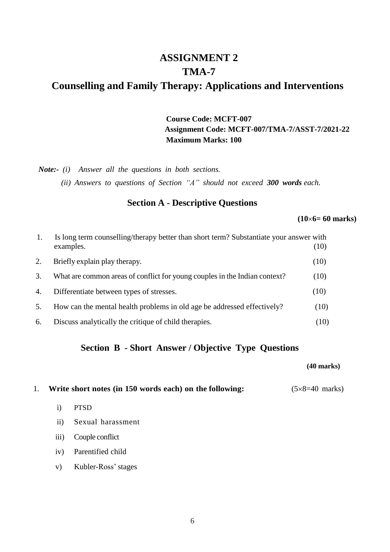## **ASSIGNMENT 2 TMA-7 Counselling and Family Therapy: Applications and Interventions**

**Course Code: MCFT-007 Assignment Code: MCFT-007/TMA-7/ASST-7/2021-22 Maximum Marks: 100**

*Note:- (i) Answer all the questions in both sections.*

*(ii) Answers to questions of Section "A" should not exceed 300 words each.*

#### **Section A - Descriptive Questions**

**(106= 60 marks)**

|    | Is long term counselling/therapy better than short term? Substantiate your answer with<br>(10)<br>examples. |      |
|----|-------------------------------------------------------------------------------------------------------------|------|
| 2. | Briefly explain play therapy.                                                                               | (10) |
| 3. | What are common areas of conflict for young couples in the Indian context?                                  | (10) |
| 4. | Differentiate between types of stresses.                                                                    | (10) |
| 5. | How can the mental health problems in old age be addressed effectively?                                     | (10) |
| 6. | Discuss analytically the critique of child therapies.                                                       | (10) |

### **Section B - Short Answer / Objective Type Questions**

#### **(40 marks)**

1. **Write** short notes (in 150 words each) on the following:  $(5 \times 8 = 40 \text{ marks})$ 

- i) PTSD
- ii) Sexual harassment
- iii) Couple conflict
- iv) Parentified child
- v) Kubler-Ross' stages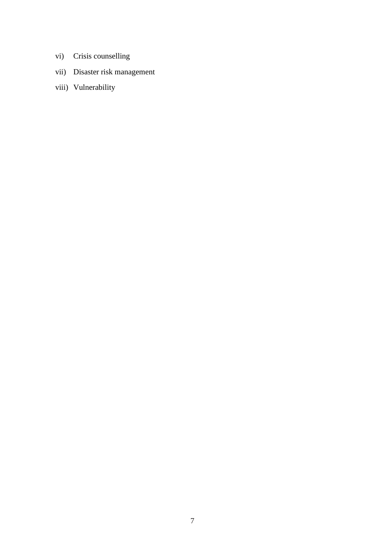- vi) Crisis counselling
- vii) Disaster risk management
- viii) Vulnerability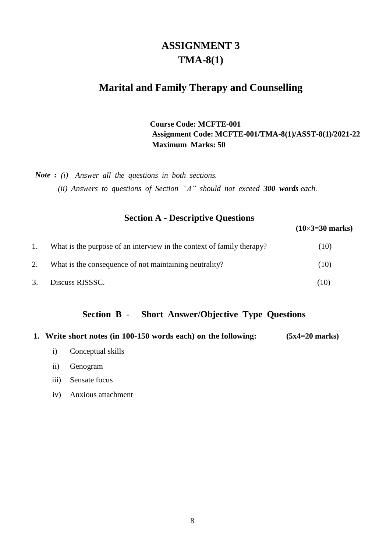## **ASSIGNMENT 3 TMA-8(1)**

## **Marital and Family Therapy and Counselling**

#### **Course Code: MCFTE-001 Assignment Code: MCFTE-001/TMA-8(1)/ASST-8(1)/2021-22 Maximum Marks: 50**

*Note : (i) Answer all the questions in both sections.*

*(ii) Answers to questions of Section "A" should not exceed 300 words each.*

### **Section A - Descriptive Questions**

**(103=30 marks)**

|    | What is the purpose of an interview in the context of family therapy? | (10) |
|----|-----------------------------------------------------------------------|------|
|    | What is the consequence of not maintaining neutrality?                | (10) |
| 3. | Discuss RISSSC.                                                       | (10) |

#### **Section B - Short Answer/Objective Type Questions**

|  |  |  | 1. Write short notes (in 100-150 words each) on the following: | $(5x4=20 \text{ marks})$ |
|--|--|--|----------------------------------------------------------------|--------------------------|
|--|--|--|----------------------------------------------------------------|--------------------------|

- i) Conceptual skills
- ii) Genogram
- iii) Sensate focus
- iv) Anxious attachment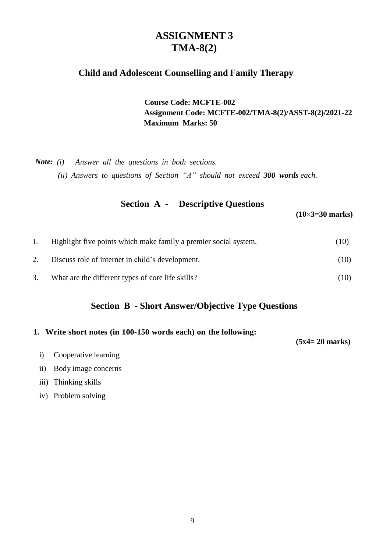## **ASSIGNMENT 3 TMA-8(2)**

### **Child and Adolescent Counselling and Family Therapy**

**Course Code: MCFTE-002 Assignment Code: MCFTE-002/TMA-8(2)/ASST-8(2)/2021-22 Maximum Marks: 50**

*Note: (i) Answer all the questions in both sections. (ii) Answers to questions of Section "A" should not exceed 300 words each.*

| <b>Section A -</b> | <b>Descriptive Questions</b> |                        |
|--------------------|------------------------------|------------------------|
|                    |                              | $(10\times3=30$ marks) |

| 1. | Highlight five points which make family a premier social system. | (10) |
|----|------------------------------------------------------------------|------|
|    | Discuss role of internet in child's development.                 | (10) |
|    | What are the different types of core life skills?                | (10) |

### **Section B - Short Answer/Objective Type Questions**

#### **1. Write short notes (in 100-150 words each) on the following:**

**(5x4= 20 marks)**

- i) Cooperative learning
- ii) Body image concerns
- iii) Thinking skills
- iv) Problem solving